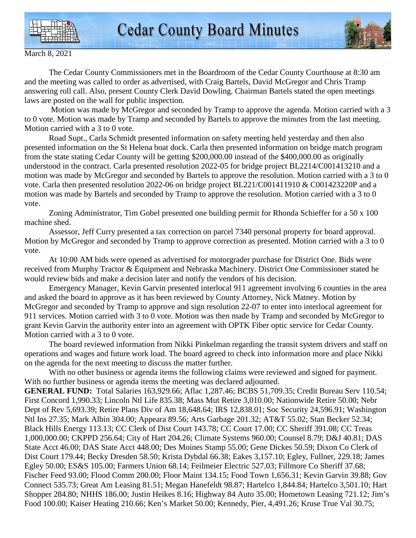



March 8, 2021

 The Cedar County Commissioners met in the Boardroom of the Cedar County Courthouse at 8:30 am and the meeting was called to order as advertised, with Craig Bartels, David McGregor and Chris Tramp answering roll call. Also, present County Clerk David Dowling. Chairman Bartels stated the open meetings laws are posted on the wall for public inspection.

 Motion was made by McGregor and seconded by Tramp to approve the agenda. Motion carried with a 3 to 0 vote. Motion was made by Tramp and seconded by Bartels to approve the minutes from the last meeting. Motion carried with a 3 to 0 vote.

 Road Supt., Carla Schmidt presented information on safety meeting held yesterday and then also presented information on the St Helena boat dock. Carla then presented information on bridge match program from the state stating Cedar County will be getting \$200,000.00 instead of the \$400,000.00 as originally understood in the contract. Carla presented resolution 2022-05 for bridge project BL2214/C001413210 and a motion was made by McGregor and seconded by Bartels to approve the resolution. Motion carried with a 3 to 0 vote. Carla then presented resolution 2022-06 on bridge project BL221/C001411910 & C001423220P and a motion was made by Bartels and seconded by Tramp to approve the resolution. Motion carried with a 3 to 0 vote.

 Zoning Administrator, Tim Gobel presented one building permit for Rhonda Schieffer for a 50 x 100 machine shed.

 Assessor, Jeff Curry presented a tax correction on parcel 7340 personal property for board approval. Motion by McGregor and seconded by Tramp to approve correction as presented. Motion carried with a 3 to 0 vote.

 At 10:00 AM bids were opened as advertised for motorgrader purchase for District One. Bids were received from Murphy Tractor & Equipment and Nebraska Machinery. District One Commissioner stated he would review bids and make a decision later and notify the vendors of his decision.

 Emergency Manager, Kevin Garvin presented interlocal 911 agreement involving 6 counties in the area and asked the board to approve as it has been reviewed by County Attorney, Nick Matney. Motion by McGregor and seconded by Tramp to approve and sign resolution 22-07 to enter into interlocal agreement for 911 services. Motion carried with 3 to 0 vote. Motion was then made by Tramp and seconded by McGregor to grant Kevin Garvin the authority enter into an agreement with OPTK Fiber optic service for Cedar County. Motion carried with a 3 to 0 vote.

 The board reviewed information from Nikki Pinkelman regarding the transit system drivers and staff on operations and wages and future work load. The board agreed to check into information more and place Nikki on the agenda for the next meeting to discuss the matter further.

With no other business or agenda items the following claims were reviewed and signed for payment. With no further business or agenda items the meeting was declared adjourned.

**GENERAL FUND:** Total Salaries 163,929.66; Aflac 1,287.46; BCBS 51,709.35; Credit Bureau Serv 110.54; First Concord 1,990.33; Lincoln Ntl Life 835.38; Mass Mut Retire 3,010.00; Nationwide Retire 50.00; Nebr Dept of Rev 5,693.39; Retire Plans Div of Am 18,648.64; IRS 12,838.01; Soc Security 24,596.91; Washington Ntl Ins 27.35; Mark Albin 304.00; Appeara 89.56; Arts Garbage 201.32; AT&T 55.02; Stan Becker 52.34; Black Hills Energy 113.13; CC Clerk of Dist Court 143.78; CC Court 17.00; CC Sheriff 391.08; CC Treas 1,000,000.00; CKPPD 256.64; City of Hart 204.26; Climate Systems 960.00; Counsel 8.79; D&J 40.81; DAS State Acct 46.00; DAS State Acct 448.00; Des Moines Stamp 55.00; Gene Dickes 50.59; Dixon Co Clerk of Dist Court 179.44; Becky Dresden 58.50; Krista Dybdal 66.38; Eakes 3,157.10; Egley, Fullner, 229.18; James Egley 50.00; ES&S 105.00; Farmers Union 68.14; Feilmeier Electric 527.03; Fillmore Co Sheriff 37.68; Fischer Feed 93.00; Flood Comm 200.00; Floor Maint 134.15; Food Town 1,656.31; Kevin Garvin 39.88; Gov Connect 535.73; Great Am Leasing 81.51; Megan Hanefeldt 98.87; Hartelco 1,844.84; Hartelco 3,501.10; Hart Shopper 284.80; NHHS 186.00; Justin Heikes 8.16; Highway 84 Auto 35.00; Hometown Leasing 721.12; Jim's Food 100.00; Kaiser Heating 210.66; Ken's Market 50.00; Kennedy, Pier, 4,491.26; Kruse True Val 30.75;